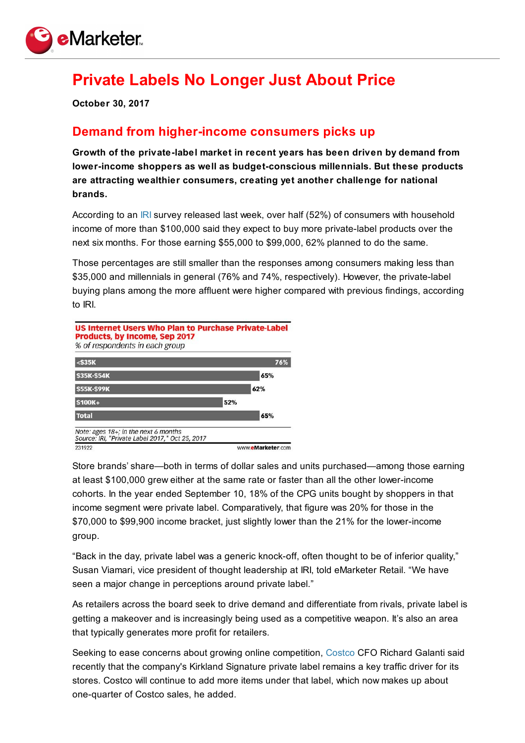

## **Private Labels No Longer Just About Price**

**October 30, 2017**

## **Demand from higher-income consumers picks up**

**Growth of the private-label market in recent years has been driven by demand from lower-income shoppers as well as budget-conscious millennials. But these products are attracting wealthier consumers, creating yet another challenge for national brands.**

According to an [IRI](https://www.iriworldwide.com/en-us) survey released last week, over half (52%) of consumers with household income of more than \$100,000 said they expect to buy more private-label products over the next six months. For those earning \$55,000 to \$99,000, 62% planned to do the same.

Those percentages are still smaller than the responses among consumers making less than \$35,000 and millennials in general (76% and 74%, respectively). However, the private-label buying plans among the more affluent were higher compared with previous findings, according to IRI.



Store brands' share—both in terms of dollar sales and units purchased—among those earning at least \$100,000 grew either at the same rate or faster than all the other lower-income cohorts. In the year ended September 10, 18% of the CPG units bought by shoppers in that income segment were private label. Comparatively, that figure was 20% for those in the \$70,000 to \$99,900 income bracket, just slightly lower than the 21% for the lower-income group.

"Back in the day, private label was a generic knock-off, often thought to be of inferior quality," Susan Viamari, vice president of thought leadership at IRI, told eMarketer Retail. "We have seen a major change in perceptions around private label."

As retailers across the board seek to drive demand and differentiate from rivals, private label is getting a makeover and is increasingly being used as a competitive weapon. It's also an area that typically generates more profit for retailers.

Seeking to ease concerns about growing online competition, [Costco](https://retail-index.emarketer.com/company/5374f24e4d4afd2bb4446617/costco-wholesale) CFO Richard Galanti said recently that the company's Kirkland Signature private label remains a key traffic driver for its stores. Costco will continue to add more items under that label, which now makes up about one-quarter of Costco sales, he added.